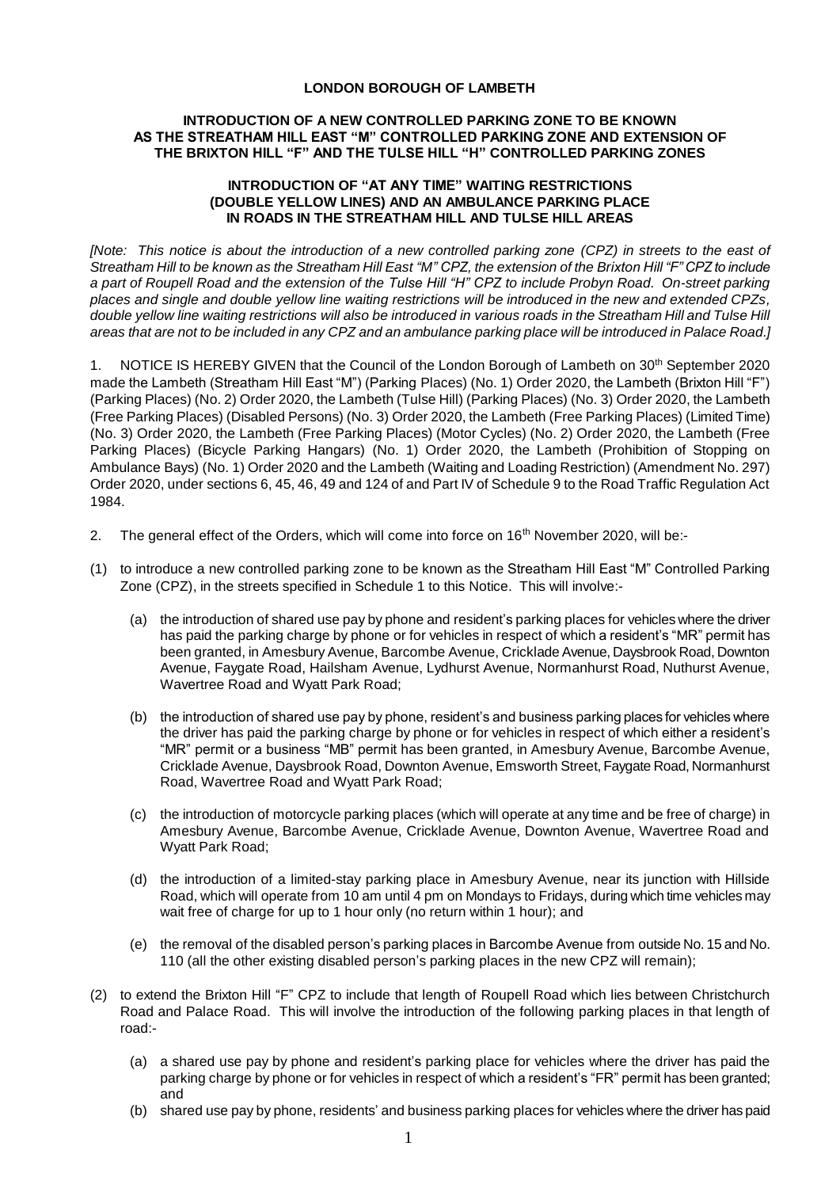### **LONDON BOROUGH OF LAMBETH**

## **INTRODUCTION OF A NEW CONTROLLED PARKING ZONE TO BE KNOWN AS THE STREATHAM HILL EAST "M" CONTROLLED PARKING ZONE AND EXTENSION OF THE BRIXTON HILL "F" AND THE TULSE HILL "H" CONTROLLED PARKING ZONES**

### **INTRODUCTION OF "AT ANY TIME" WAITING RESTRICTIONS (DOUBLE YELLOW LINES) AND AN AMBULANCE PARKING PLACE IN ROADS IN THE STREATHAM HILL AND TULSE HILL AREAS**

*[Note: This notice is about the introduction of a new controlled parking zone (CPZ) in streets to the east of Streatham Hill to be known as the Streatham Hill East "M" CPZ, the extension of the Brixton Hill "F" CPZ to include a part of Roupell Road and the extension of the Tulse Hill "H" CPZ to include Probyn Road. On-street parking places and single and double yellow line waiting restrictions will be introduced in the new and extended CPZs,*  double yellow line waiting restrictions will also be introduced in various roads in the Streatham Hill and Tulse Hill *areas that are not to be included in any CPZ and an ambulance parking place will be introduced in Palace Road.]*

1. NOTICE IS HEREBY GIVEN that the Council of the London Borough of Lambeth on 30<sup>th</sup> September 2020 made the Lambeth (Streatham Hill East "M") (Parking Places) (No. 1) Order 2020, the Lambeth (Brixton Hill "F") (Parking Places) (No. 2) Order 2020, the Lambeth (Tulse Hill) (Parking Places) (No. 3) Order 2020, the Lambeth (Free Parking Places) (Disabled Persons) (No. 3) Order 2020, the Lambeth (Free Parking Places) (Limited Time) (No. 3) Order 2020, the Lambeth (Free Parking Places) (Motor Cycles) (No. 2) Order 2020, the Lambeth (Free Parking Places) (Bicycle Parking Hangars) (No. 1) Order 2020, the Lambeth (Prohibition of Stopping on Ambulance Bays) (No. 1) Order 2020 and the Lambeth (Waiting and Loading Restriction) (Amendment No. 297) Order 2020, under sections 6, 45, 46, 49 and 124 of and Part IV of Schedule 9 to the Road Traffic Regulation Act 1984.

- 2. The general effect of the Orders, which will come into force on  $16<sup>th</sup>$  November 2020, will be:-
- (1) to introduce a new controlled parking zone to be known as the Streatham Hill East "M" Controlled Parking Zone (CPZ), in the streets specified in Schedule 1 to this Notice. This will involve:-
	- (a) the introduction of shared use pay by phone and resident's parking places for vehicles where the driver has paid the parking charge by phone or for vehicles in respect of which a resident's "MR" permit has been granted, in Amesbury Avenue, Barcombe Avenue, Cricklade Avenue, Daysbrook Road, Downton Avenue, Faygate Road, Hailsham Avenue, Lydhurst Avenue, Normanhurst Road, Nuthurst Avenue, Wavertree Road and Wyatt Park Road;
	- (b) the introduction of shared use pay by phone, resident's and business parking places for vehicles where the driver has paid the parking charge by phone or for vehicles in respect of which either a resident's "MR" permit or a business "MB" permit has been granted, in Amesbury Avenue, Barcombe Avenue, Cricklade Avenue, Daysbrook Road, Downton Avenue, Emsworth Street, Faygate Road, Normanhurst Road, Wavertree Road and Wyatt Park Road;
	- (c) the introduction of motorcycle parking places (which will operate at any time and be free of charge) in Amesbury Avenue, Barcombe Avenue, Cricklade Avenue, Downton Avenue, Wavertree Road and Wyatt Park Road;
	- (d) the introduction of a limited-stay parking place in Amesbury Avenue, near its junction with Hillside Road, which will operate from 10 am until 4 pm on Mondays to Fridays, during which time vehicles may wait free of charge for up to 1 hour only (no return within 1 hour); and
	- (e) the removal of the disabled person's parking places in Barcombe Avenue from outside No. 15 and No. 110 (all the other existing disabled person's parking places in the new CPZ will remain);
- (2) to extend the Brixton Hill "F" CPZ to include that length of Roupell Road which lies between Christchurch Road and Palace Road. This will involve the introduction of the following parking places in that length of road:-
	- (a) a shared use pay by phone and resident's parking place for vehicles where the driver has paid the parking charge by phone or for vehicles in respect of which a resident's "FR" permit has been granted; and
	- (b) shared use pay by phone, residents' and business parking places for vehicles where the driver has paid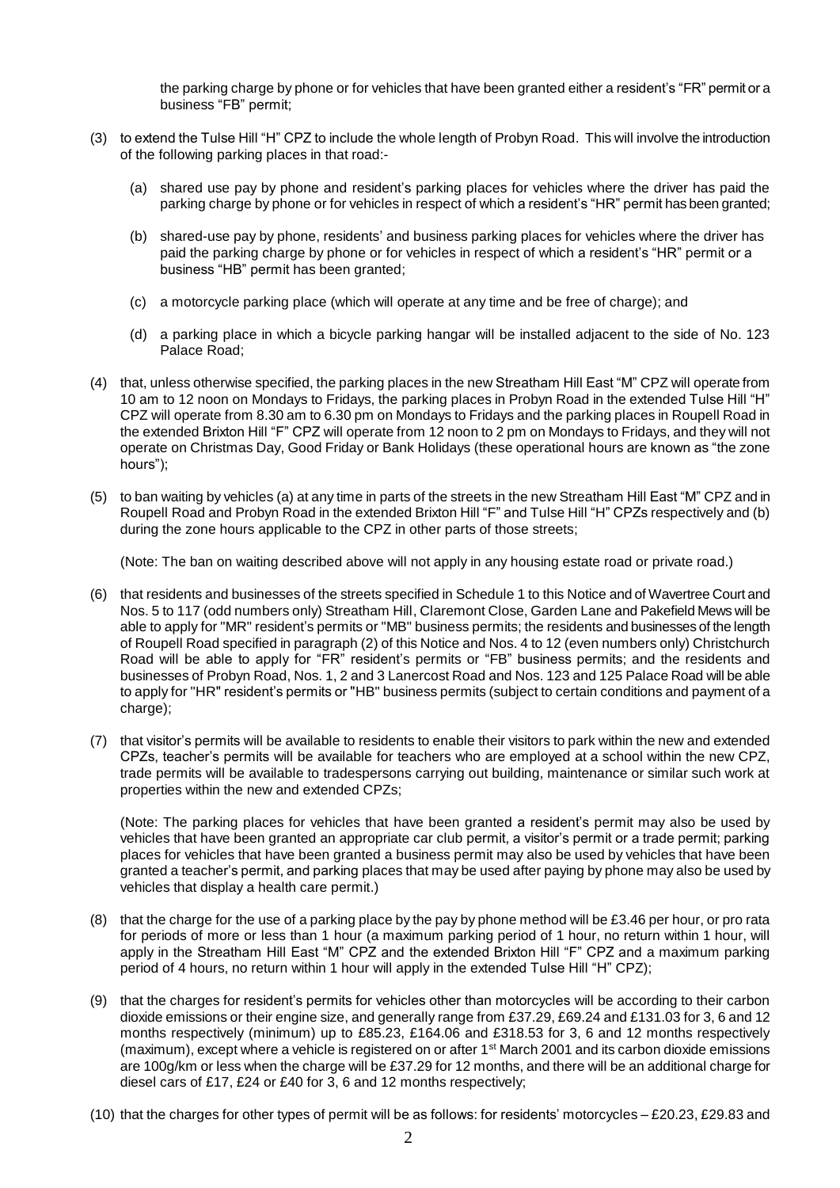the parking charge by phone or for vehicles that have been granted either a resident's "FR" permit or a business "FB" permit;

- (3) to extend the Tulse Hill "H" CPZ to include the whole length of Probyn Road. This will involve the introduction of the following parking places in that road:-
	- (a) shared use pay by phone and resident's parking places for vehicles where the driver has paid the parking charge by phone or for vehicles in respect of which a resident's "HR" permit has been granted;
	- (b) shared-use pay by phone, residents' and business parking places for vehicles where the driver has paid the parking charge by phone or for vehicles in respect of which a resident's "HR" permit or a business "HB" permit has been granted;
	- (c) a motorcycle parking place (which will operate at any time and be free of charge); and
	- (d) a parking place in which a bicycle parking hangar will be installed adjacent to the side of No. 123 Palace Road;
- (4) that, unless otherwise specified, the parking places in the new Streatham Hill East "M" CPZ will operate from 10 am to 12 noon on Mondays to Fridays, the parking places in Probyn Road in the extended Tulse Hill "H" CPZ will operate from 8.30 am to 6.30 pm on Mondays to Fridays and the parking places in Roupell Road in the extended Brixton Hill "F" CPZ will operate from 12 noon to 2 pm on Mondays to Fridays, and they will not operate on Christmas Day, Good Friday or Bank Holidays (these operational hours are known as "the zone hours");
- (5) to ban waiting by vehicles (a) at any time in parts of the streets in the new Streatham Hill East "M" CPZ and in Roupell Road and Probyn Road in the extended Brixton Hill "F" and Tulse Hill "H" CPZs respectively and (b) during the zone hours applicable to the CPZ in other parts of those streets;

(Note: The ban on waiting described above will not apply in any housing estate road or private road.)

- (6) that residents and businesses of the streets specified in Schedule 1 to this Notice and of Wavertree Court and Nos. 5 to 117 (odd numbers only) Streatham Hill, Claremont Close, Garden Lane and Pakefield Mews will be able to apply for "MR" resident's permits or "MB" business permits; the residents and businesses of the length of Roupell Road specified in paragraph (2) of this Notice and Nos. 4 to 12 (even numbers only) Christchurch Road will be able to apply for "FR" resident's permits or "FB" business permits; and the residents and businesses of Probyn Road, Nos. 1, 2 and 3 Lanercost Road and Nos. 123 and 125 Palace Road will be able to apply for "HR" resident's permits or "HB" business permits (subject to certain conditions and payment of a charge);
- (7) that visitor's permits will be available to residents to enable their visitors to park within the new and extended CPZs, teacher's permits will be available for teachers who are employed at a school within the new CPZ, trade permits will be available to tradespersons carrying out building, maintenance or similar such work at properties within the new and extended CPZs;

(Note: The parking places for vehicles that have been granted a resident's permit may also be used by vehicles that have been granted an appropriate car club permit, a visitor's permit or a trade permit; parking places for vehicles that have been granted a business permit may also be used by vehicles that have been granted a teacher's permit, and parking places that may be used after paying by phone may also be used by vehicles that display a health care permit.)

- (8) that the charge for the use of a parking place by the pay by phone method will be £3.46 per hour, or pro rata for periods of more or less than 1 hour (a maximum parking period of 1 hour, no return within 1 hour, will apply in the Streatham Hill East "M" CPZ and the extended Brixton Hill "F" CPZ and a maximum parking period of 4 hours, no return within 1 hour will apply in the extended Tulse Hill "H" CPZ);
- (9) that the charges for resident's permits for vehicles other than motorcycles will be according to their carbon dioxide emissions or their engine size, and generally range from £37.29, £69.24 and £131.03 for 3, 6 and 12 months respectively (minimum) up to £85.23, £164.06 and £318.53 for 3, 6 and 12 months respectively (maximum), except where a vehicle is registered on or after  $1<sup>st</sup>$  March 2001 and its carbon dioxide emissions are 100g/km or less when the charge will be £37.29 for 12 months, and there will be an additional charge for diesel cars of £17, £24 or £40 for 3, 6 and 12 months respectively;
- (10) that the charges for other types of permit will be as follows: for residents' motorcycles £20.23, £29.83 and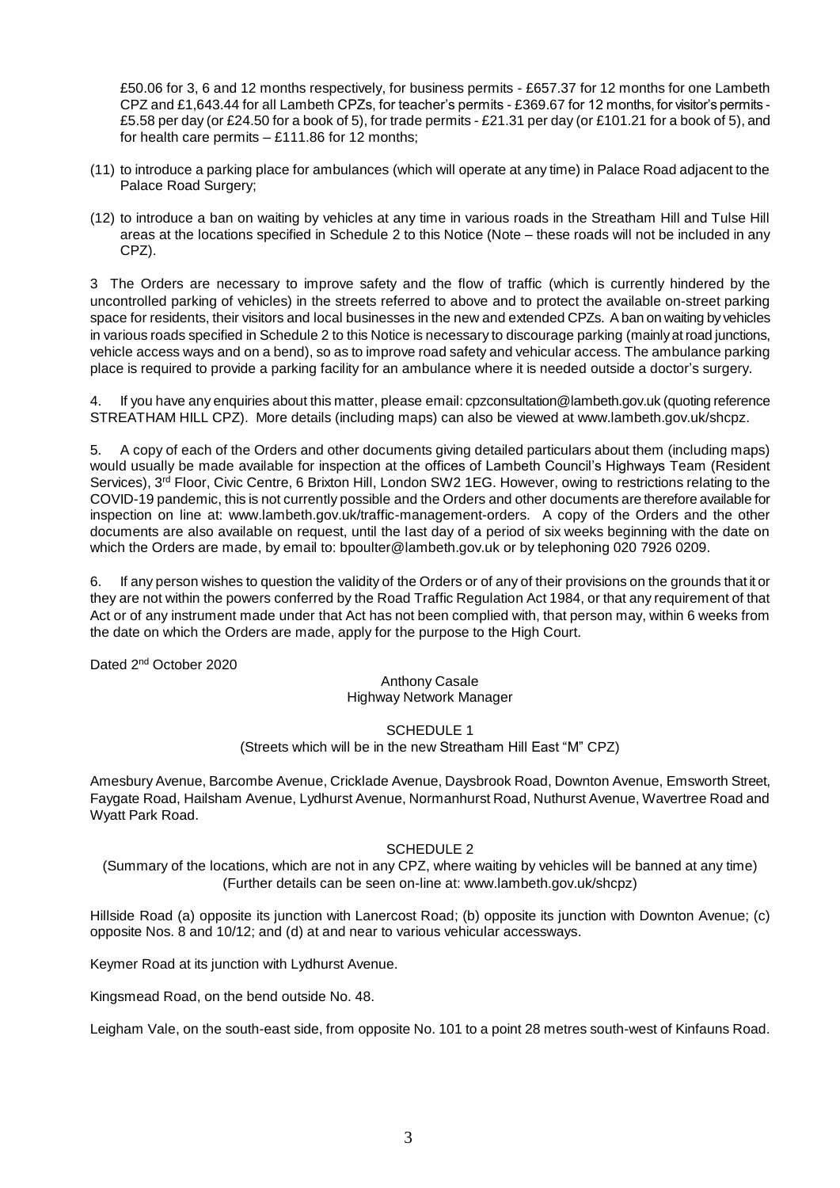£50.06 for 3, 6 and 12 months respectively, for business permits - £657.37 for 12 months for one Lambeth CPZ and £1,643.44 for all Lambeth CPZs, for teacher's permits - £369.67 for 12 months, for visitor's permits - £5.58 per day (or £24.50 for a book of 5), for trade permits - £21.31 per day (or £101.21 for a book of 5), and for health care permits – £111.86 for 12 months;

- (11) to introduce a parking place for ambulances (which will operate at any time) in Palace Road adjacent to the Palace Road Surgery:
- (12) to introduce a ban on waiting by vehicles at any time in various roads in the Streatham Hill and Tulse Hill areas at the locations specified in Schedule 2 to this Notice (Note – these roads will not be included in any CPZ).

3 The Orders are necessary to improve safety and the flow of traffic (which is currently hindered by the uncontrolled parking of vehicles) in the streets referred to above and to protect the available on-street parking space for residents, their visitors and local businesses in the new and extended CPZs. A ban on waiting by vehicles in various roads specified in Schedule 2 to this Notice is necessary to discourage parking (mainly at road junctions, vehicle access ways and on a bend), so as to improve road safety and vehicular access. The ambulance parking place is required to provide a parking facility for an ambulance where it is needed outside a doctor's surgery.

If you have any enquiries about this matter, please email[: cpzconsultation@lambeth.gov.uk](mailto:cpzconsultation@lambeth.gov.uk) (quoting reference STREATHAM HILL CPZ). More details (including maps) can also be viewed at [www.lambeth.gov.uk/shcpz.](http://www.lambeth.gov.uk/shcpz)

5. A copy of each of the Orders and other documents giving detailed particulars about them (including maps) would usually be made available for inspection at the offices of Lambeth Council's Highways Team (Resident Services), 3<sup>rd</sup> Floor, Civic Centre, 6 Brixton Hill, London SW2 1EG. However, owing to restrictions relating to the COVID-19 pandemic, this is not currently possible and the Orders and other documents are therefore available for inspection on line at: [www.lambeth.gov.uk/traffic-management-orders.](https://eur01.safelinks.protection.outlook.com/?url=http%3A%2F%2Fwww.lambeth.gov.uk%2Ftraffic-management-orders&data=02%7C01%7CHazel.Game%40projectcentre.co.uk%7Cdb2cc4466d98464379e108d8228a177f%7C3734172ae82a4ac7a3d302949970d5e6%7C0%7C0%7C637297323791658621&sdata=%2F9T0mTHJshTJ2XJRn1W8ejKPOCPyu4ImJy8Y%2BVrLotM%3D&reserved=0) A copy of the Orders and the other documents are also available on request, until the last day of a period of six weeks beginning with the date on which the Orders are made, by email to: [bpoulter@lambeth.gov.uk](mailto:bpoulter@lambeth.gov.uk) or by telephoning 020 7926 0209.

6. If any person wishes to question the validity of the Orders or of any of their provisions on the grounds that it or they are not within the powers conferred by the Road Traffic Regulation Act 1984, or that any requirement of that Act or of any instrument made under that Act has not been complied with, that person may, within 6 weeks from the date on which the Orders are made, apply for the purpose to the High Court.

Dated 2<sup>nd</sup> October 2020

#### Anthony Casale Highway Network Manager

SCHEDULE 1 (Streets which will be in the new Streatham Hill East "M" CPZ)

Amesbury Avenue, Barcombe Avenue, Cricklade Avenue, Daysbrook Road, Downton Avenue, Emsworth Street, Faygate Road, Hailsham Avenue, Lydhurst Avenue, Normanhurst Road, Nuthurst Avenue, Wavertree Road and Wyatt Park Road.

## SCHEDULE 2

(Summary of the locations, which are not in any CPZ, where waiting by vehicles will be banned at any time) (Further details can be seen on-line at: [www.lambeth.gov.uk/shcpz\)](http://www.lambeth.gov.uk/shcpz)

Hillside Road (a) opposite its junction with Lanercost Road; (b) opposite its junction with Downton Avenue; (c) opposite Nos. 8 and 10/12; and (d) at and near to various vehicular accessways.

Keymer Road at its junction with Lydhurst Avenue.

Kingsmead Road, on the bend outside No. 48.

Leigham Vale, on the south-east side, from opposite No. 101 to a point 28 metres south-west of Kinfauns Road.